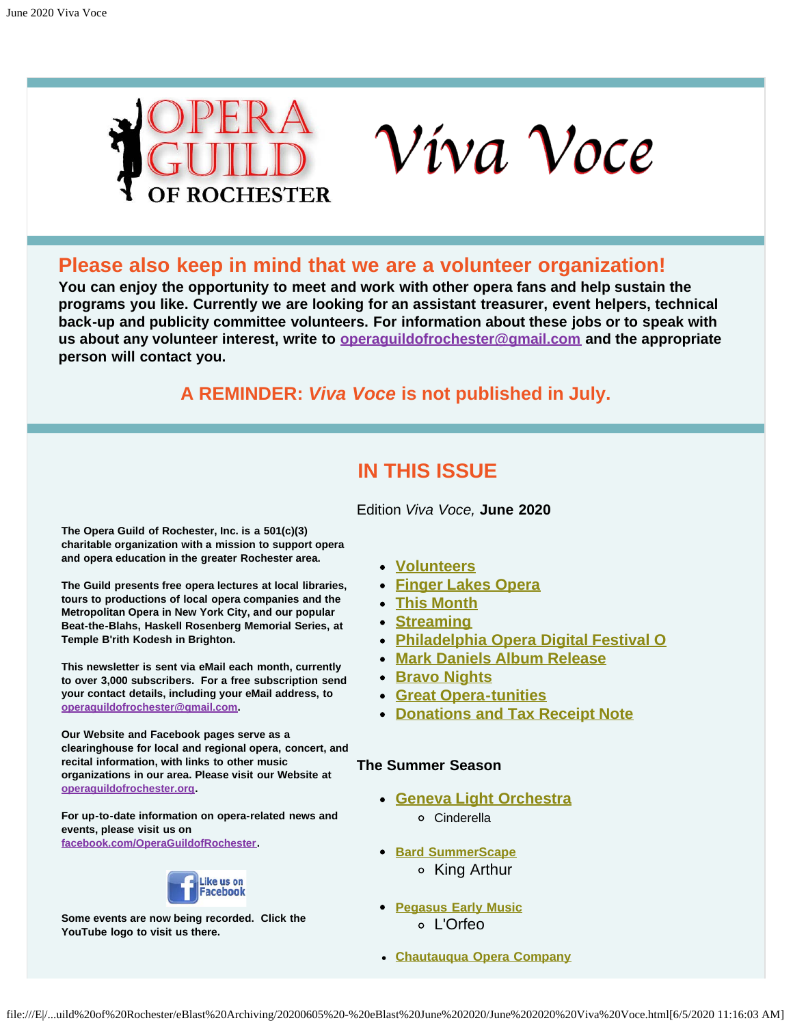



## <span id="page-0-0"></span>**Please also keep in mind that we are a volunteer organization!**

**You can enjoy the opportunity to meet and work with other opera fans and help sustain the programs you like. Currently we are looking for an assistant treasurer, event helpers, technical back-up and publicity committee volunteers. For information about these jobs or to speak with us about any volunteer interest, write to [operaguildofrochester@gmail.com](mailto:operaguildofrochester@gmail.com) and the appropriate person will contact you.**

## **A REMINDER:** *Viva Voce* **is not published in July.**

## **IN THIS ISSUE**

Edition *Viva Voce,* **June 2020**

<span id="page-0-1"></span>**The Opera Guild of Rochester, Inc. is a 501(c)(3) charitable organization with a mission to support opera and opera education in the greater Rochester area.**

**The Guild presents free opera lectures at local libraries, tours to productions of local opera companies and the Metropolitan Opera in New York City, and our popular Beat-the-Blahs, Haskell Rosenberg Memorial Series, at Temple B'rith Kodesh in Brighton.**

**This newsletter is sent via eMail each month, currently to over 3,000 subscribers. For a free subscription send your contact details, including your eMail address, to [operaguildofrochester@gmail.com](mailto:operaguildofrochester@gmail.com).**

**Our Website and Facebook pages serve as a clearinghouse for local and regional opera, concert, and recital information, with links to other music organizations in our area. Please visit our Website at [operaguildofrochester.org](http://operaguildofrochester.org/).**

**For up-to-date information on opera-related news and events, please visit us on [facebook.com/OperaGuildofRochester](http://facebook.com/OperaGuildofRochester).**



**Some events are now being recorded. Click the YouTube logo to visit us there.**

- **[Volunteers](#page-0-0)**
- **[Finger Lakes Opera](#page-1-0)**
- **[This Month](#page-1-1)**
- **[Streaming](#page-3-0)**
- **[Philadelphia Opera Digital Festival O](#page-3-1)**
- **[Mark Daniels Album Release](#page-4-0)**
- **[Bravo Nights](#page-4-1)**
- **[Great Opera-tunities](#page-4-2)**
- **[Donations and Tax Receipt Note](#page-5-0)**

## **The Summer Season**

- **[Geneva Light Orchestra](#page-6-0)**
	- Cinderella
- **[Bard SummerScape](#page-7-0)**
	- King Arthur
- **[Pegasus Early Music](#page-8-0)** L'Orfeo
- **[Chautauqua Opera Company](#page-8-1)**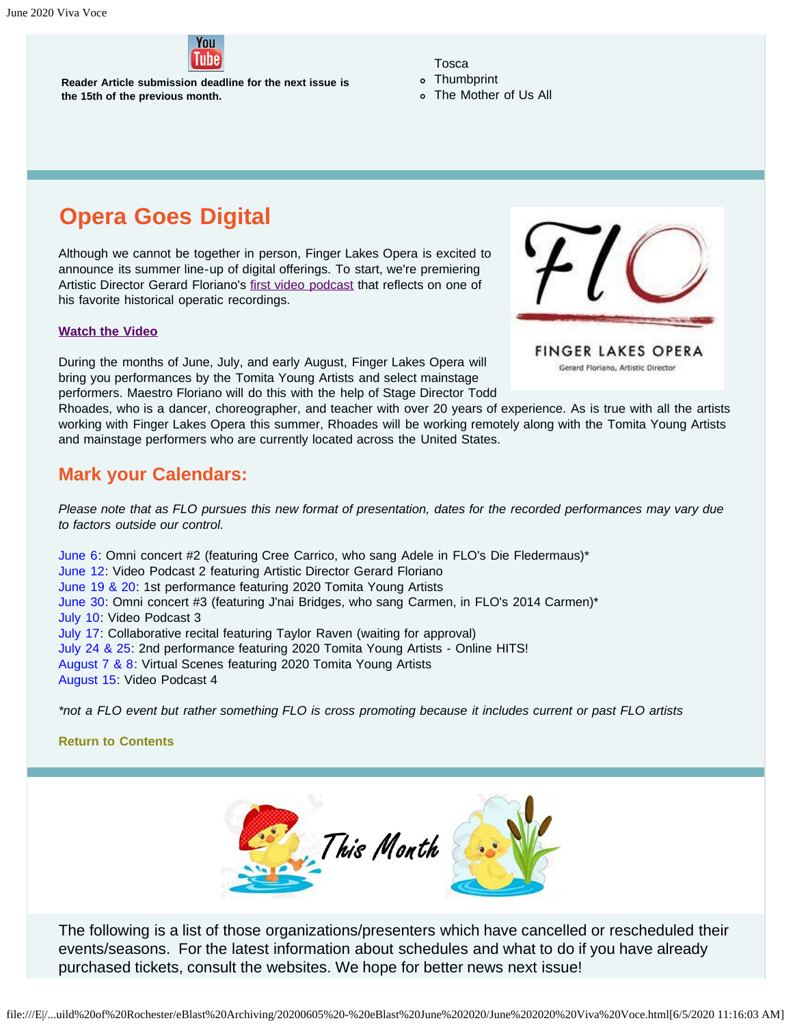

**Reader Article submission deadline for the next issue is the 15th of the previous month.**

Tosca

- Thumbprint
- The Mother of Us All

# <span id="page-1-0"></span>**Opera Goes Digital**

Although we cannot be together in person, Finger Lakes Opera is excited to announce its summer line-up of digital offerings. To start, we're premiering Artistic Director Gerard Floriano's [first video podcast](https://campaignmonitor.gridnewyork.com/t/y-l-uddtudl-irtlwjdld-y/) that reflects on one of his favorite historical operatic recordings.

#### **[Watch the Video](https://campaignmonitor.gridnewyork.com/t/y-l-uddtudl-irtlwjdld-j/)**

During the months of June, July, and early August, Finger Lakes Opera will bring you performances by the Tomita Young Artists and select mainstage performers. Maestro Floriano will do this with the help of Stage Director Todd

Rhoades, who is a dancer, choreographer, and teacher with over 20 years of experience. As is true with all the artists working with Finger Lakes Opera this summer, Rhoades will be working remotely along with the Tomita Young Artists and mainstage performers who are currently located across the United States.

## **Mark your Calendars:**

*Please note that as FLO pursues this new format of presentation, dates for the recorded performances may vary due to factors outside our control.*

June 6: Omni concert #2 (featuring Cree Carrico, who sang Adele in FLO's Die Fledermaus)\* June 12: Video Podcast 2 featuring Artistic Director Gerard Floriano June 19 & 20: 1st performance featuring 2020 Tomita Young Artists June 30: Omni concert #3 (featuring J'nai Bridges, who sang Carmen, in FLO's 2014 Carmen)\* July 10: Video Podcast 3 July 17: Collaborative recital featuring Taylor Raven (waiting for approval) July 24 & 25: 2nd performance featuring 2020 Tomita Young Artists - Online HITS! August 7 & 8: Virtual Scenes featuring 2020 Tomita Young Artists August 15: Video Podcast 4

*\*not a FLO event but rather something FLO is cross promoting because it includes current or past FLO artists*

<span id="page-1-1"></span>**[Return to Contents](#page-0-1)**



The following is a list of those organizations/presenters which have cancelled or rescheduled their events/seasons. For the latest information about schedules and what to do if you have already purchased tickets, consult the websites. We hope for better news next issue!

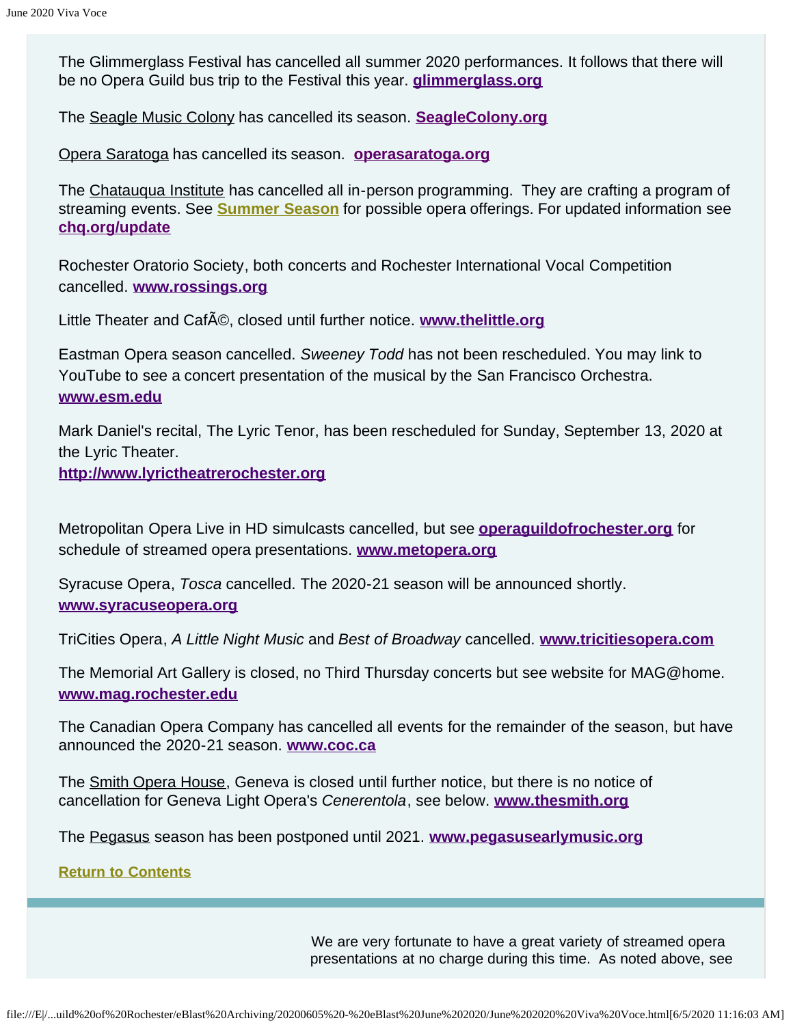The Glimmerglass Festival has cancelled all summer 2020 performances. It follows that there will be no Opera Guild bus trip to the Festival this year. **[glimmerglass.org](https://glimmerglass.org/)**

The Seagle Music Colony has cancelled its season. **[SeagleColony.org](http://seaglecolony.org/)**

Opera Saratoga has cancelled its season. **[operasaratoga.org](http://www.operasaratoga.org/)**

The Chatauqua Institute has cancelled all in-person programming. They are crafting a program of streaming events. See **[Summer Season](#page-8-1)** for possible opera offerings. For updated information see **[chq.org/update](http://chq.org/update)**

Rochester Oratorio Society, both concerts and Rochester International Vocal Competition cancelled. **[www.rossings.org](http://www.rossings.org/)**

Little Theater and CafA<sup>®</sup>, closed until further notice. **[www.thelittle.org](http://www.thelittle.org/)** 

Eastman Opera season cancelled. *Sweeney Todd* has not been rescheduled. You may link to YouTube to see a concert presentation of the musical by the San Francisco Orchestra. **[www.esm.edu](http://www.esm.edu/)**

Mark Daniel's recital, The Lyric Tenor, has been rescheduled for Sunday, September 13, 2020 at the Lyric Theater.

**[http://www.lyrictheatrerochester.org](http://www.lyrictheatrerochester.org/)**

Metropolitan Opera Live in HD simulcasts cancelled, but see **[operaguildofrochester.org](http://operaguildofrochester.org/)** for schedule of streamed opera presentations. **[www.metopera.org](http://www.metopera.org/)**

Syracuse Opera, *Tosca* cancelled. The 2020-21 season will be announced shortly. **[www.syracuseopera.org](http://www.syracuseopera.org/)**

TriCities Opera, *A Little Night Music* and *Best of Broadway* cancelled. **[www.tricitiesopera.com](http://www.tricitiesopera.com/)**

The Memorial Art Gallery is closed, no Third Thursday concerts but see website for MAG@home. **[www.mag.rochester.edu](http://www.mag.rochester.edu/)**

The Canadian Opera Company has cancelled all events for the remainder of the season, but have announced the 2020-21 season. **[www.coc.ca](http://www.coc.ca/)**

The Smith Opera House, Geneva is closed until further notice, but there is no notice of cancellation for Geneva Light Opera's *Cenerentola*, see below. **[www.thesmith.org](http://www.thesmith.org/)**

The Pegasus season has been postponed until 2021. **[www.pegasusearlymusic.org](http://www.pegasusearlymusic.org/)**

**[Return to Contents](#page-0-1)**

We are very fortunate to have a great variety of streamed opera presentations at no charge during this time. As noted above, see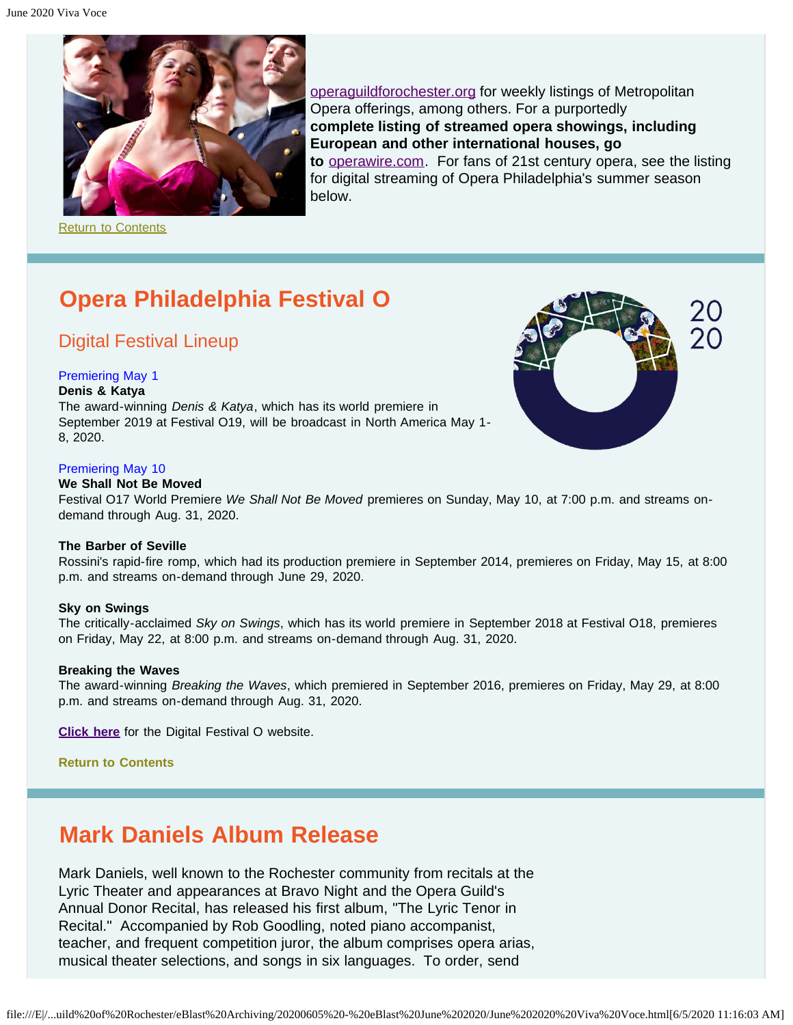<span id="page-3-0"></span>

[operaguildforochester.org](http://operaguildofrochester.org/) for weekly listings of Metropolitan Opera offerings, among others. For a purportedly **complete listing of streamed opera showings, including European and other international houses, go to** [operawire.com.](http://www.operawire.com/) For fans of 21st century opera, see the listing for digital streaming of Opera Philadelphia's summer season below.

**[Return to Contents](#page-0-1)** 

# <span id="page-3-1"></span>**Opera Philadelphia Festival O**

## Digital Festival Lineup

#### Premiering May 1

#### **Denis & Katya**

The award-winning *Denis & Katya*, which has its world premiere in September 2019 at Festival O19, will be broadcast in North America May 1- 8, 2020.



#### **We Shall Not Be Moved**

Festival O17 World Premiere *We Shall Not Be Moved* premieres on Sunday, May 10, at 7:00 p.m. and streams ondemand through Aug. 31, 2020.

#### **The Barber of Seville**

Rossini's rapid-fire romp, which had its production premiere in September 2014, premieres on Friday, May 15, at 8:00 p.m. and streams on-demand through June 29, 2020.

#### **Sky on Swings**

The critically-acclaimed *Sky on Swings*, which has its world premiere in September 2018 at Festival O18, premieres on Friday, May 22, at 8:00 p.m. and streams on-demand through Aug. 31, 2020.

#### **Breaking the Waves**

The award-winning *Breaking the Waves*, which premiered in September 2016, premieres on Friday, May 29, at 8:00 p.m. and streams on-demand through Aug. 31, 2020.

**[Click here](https://www.operaphila.org/festival/digital-festival/)** for the Digital Festival O website.

**[Return to Contents](#page-0-1)**

## **Mark Daniels Album Release**

Mark Daniels, well known to the Rochester community from recitals at the Lyric Theater and appearances at Bravo Night and the Opera Guild's Annual Donor Recital, has released his first album, "The Lyric Tenor in Recital." Accompanied by Rob Goodling, noted piano accompanist, teacher, and frequent competition juror, the album comprises opera arias, musical theater selections, and songs in six languages. To order, send

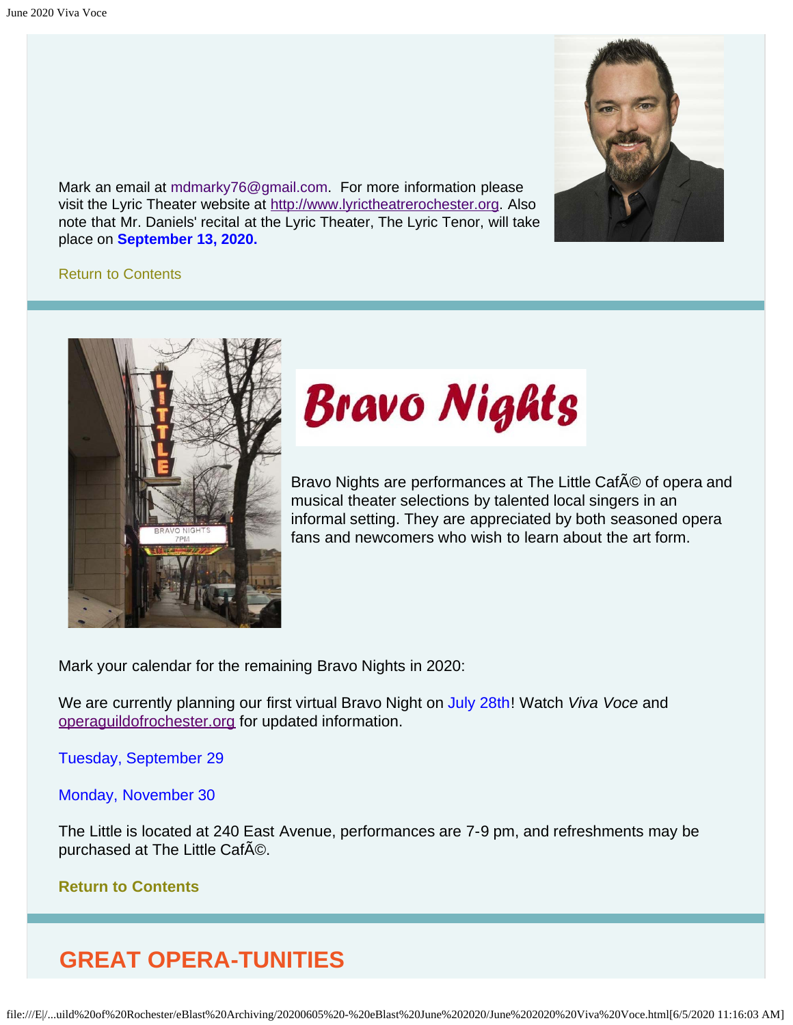<span id="page-4-0"></span>Mark an email at [mdmarky76@gmail.com](mailto:mdmarky76@gmail.com). For more information please visit the Lyric Theater website at [http://www.lyrictheatrerochester.org.](http://www.lyrictheatrerochester.org/) Also note that Mr. Daniels' recital at the Lyric Theater, The Lyric Tenor, will take place on **September 13, 2020.** 



## [Return to Contents](#page-0-1)

<span id="page-4-1"></span>

# **Bravo Nights**

Bravo Nights are performances at The Little CafA © of opera and musical theater selections by talented local singers in an informal setting. They are appreciated by both seasoned opera fans and newcomers who wish to learn about the art form.

Mark your calendar for the remaining Bravo Nights in 2020:

We are currently planning our first virtual Bravo Night on July 28th! Watch *Viva Voce* and [operaguildofrochester.org](http://operaguildofrochester.org/) for updated information.

Tuesday, September 29

Monday, November 30

The Little is located at 240 East Avenue, performances are 7-9 pm, and refreshments may be purchased at The Little CafAO.

## **[Return to Contents](#page-0-1)**

## <span id="page-4-2"></span>**GREAT OPERA-TUNITIES**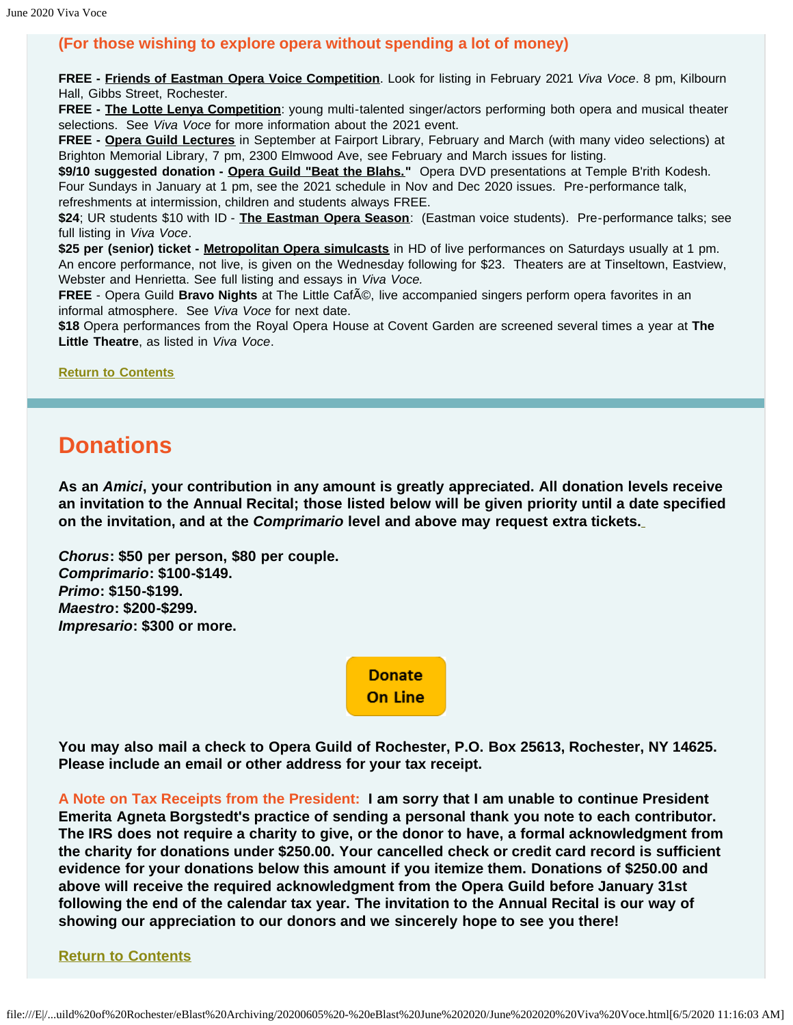## **(For those wishing to explore opera without spending a lot of money)**

**FREE - Friends of Eastman Opera Voice Competition**. Look for listing in February 2021 *Viva Voce*. 8 pm, Kilbourn Hall, Gibbs Street, Rochester.

**FREE - The Lotte Lenya Competition**: young multi-talented singer/actors performing both opera and musical theater selections. See *Viva Voce* for more information about the 2021 event.

**FREE - Opera Guild Lectures** in September at Fairport Library, February and March (with many video selections) at Brighton Memorial Library, 7 pm, 2300 Elmwood Ave, see February and March issues for listing.

\$9/10 suggested donation - Opera Guild "Beat the Blahs." Opera DVD presentations at Temple B'rith Kodesh. Four Sundays in January at 1 pm, see the 2021 schedule in Nov and Dec 2020 issues. Pre-performance talk, refreshments at intermission, children and students always FREE.

**\$24**; UR students \$10 with ID - **The Eastman Opera Season**: (Eastman voice students). Pre-performance talks; see full listing in *Viva Voce*.

**\$25 per (senior) ticket - Metropolitan Opera simulcasts** in HD of live performances on Saturdays usually at 1 pm. An encore performance, not live, is given on the Wednesday following for \$23. Theaters are at Tinseltown, Eastview, Webster and Henrietta. See full listing and essays in *Viva Voce.*

FREE - Opera Guild Bravo Nights at The Little Caf©, live accompanied singers perform opera favorites in an informal atmosphere. See *Viva Voce* for next date.

**\$18** Opera performances from the Royal Opera House at Covent Garden are screened several times a year at **The Little Theatre**, as listed in *Viva Voce*.

**[Return to Contents](#page-0-1)**

## <span id="page-5-0"></span>**Donations**

**As an** *Amici***, your contribution in any amount is greatly appreciated. All donation levels receive an invitation to the Annual Recital; those listed below will be given priority until a date specified on the invitation, and at the** *Comprimario* **level and above may request extra tickets.**

*Chorus***: \$50 per person, \$80 per couple.** *Comprimario***: \$100-\$149.** *Primo***: \$150-\$199.** *Maestro***: \$200-\$299.** *Impresario***: \$300 or more.**

> **Donate On Line**

**You may also mail a check to Opera Guild of Rochester, P.O. Box 25613, Rochester, NY 14625. Please include an email or other address for your tax receipt.**

**A Note on Tax Receipts from the President: I am sorry that I am unable to continue President Emerita Agneta Borgstedt's practice of sending a personal thank you note to each contributor. The IRS does not require a charity to give, or the donor to have, a formal acknowledgment from the charity for donations under \$250.00. Your cancelled check or credit card record is sufficient evidence for your donations below this amount if you itemize them. Donations of \$250.00 and above will receive the required acknowledgment from the Opera Guild before January 31st following the end of the calendar tax year. The invitation to the Annual Recital is our way of showing our appreciation to our donors and we sincerely hope to see you there!**

**[Return to Contents](#page-0-1)**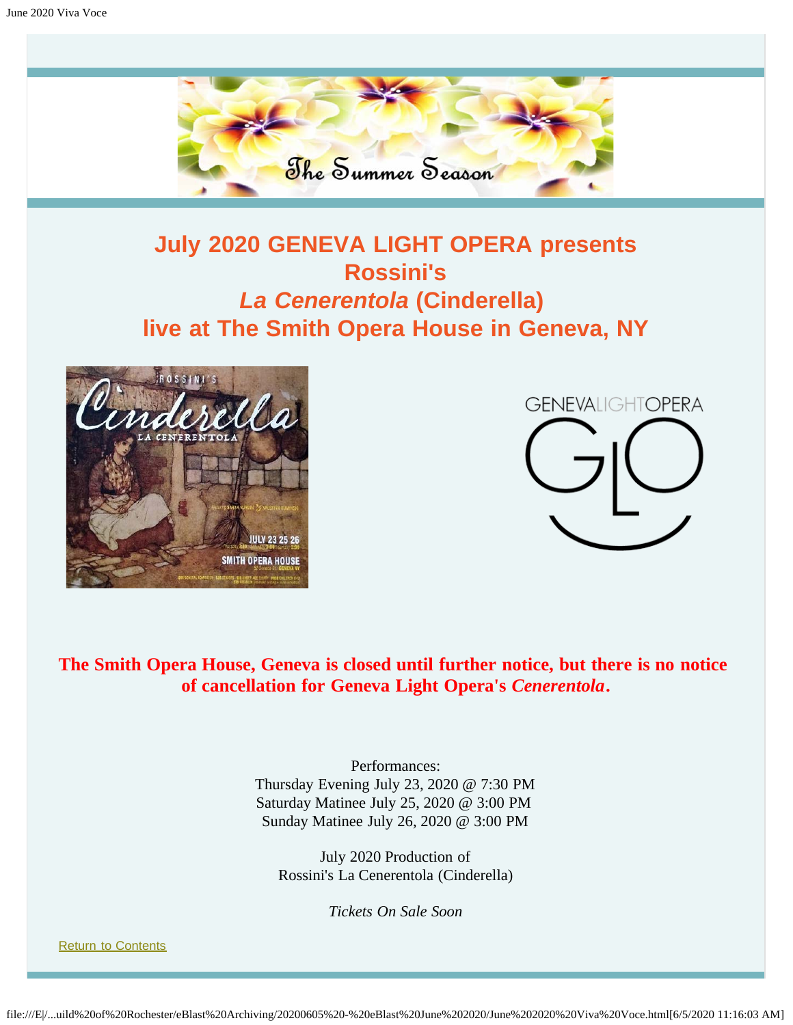

# **July 2020 GENEVA LIGHT OPERA presents Rossini's** *La Cenerentola* **(Cinderella) live at The Smith Opera House in Geneva, NY**

<span id="page-6-0"></span>



**The Smith Opera House, Geneva is closed until further notice, but there is no notice of cancellation for Geneva Light Opera's** *Cenerentola***.**

> Performances: Thursday Evening July 23, 2020 @ 7:30 PM Saturday Matinee July 25, 2020 @ 3:00 PM Sunday Matinee July 26, 2020 @ 3:00 PM

July 2020 Production of Rossini's La Cenerentola (Cinderella)

*Tickets On Sale Soon*

[Return to Contents](#page-0-1)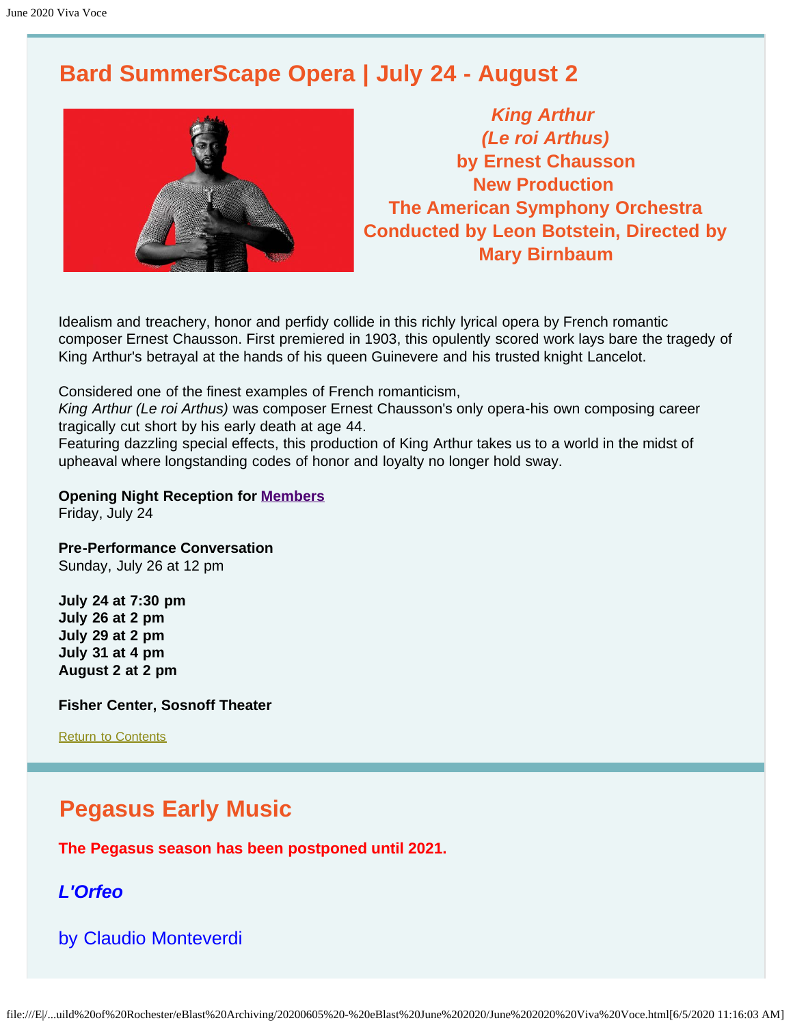# <span id="page-7-0"></span>**Bard SummerScape Opera | July 24 - August 2**



*King Arthur (Le roi Arthus)* **by Ernest Chausson New Production The American Symphony Orchestra Conducted by Leon Botstein, Directed by Mary Birnbaum**

Idealism and treachery, honor and perfidy collide in this richly lyrical opera by French romantic composer Ernest Chausson. First premiered in 1903, this opulently scored work lays bare the tragedy of King Arthur's betrayal at the hands of his queen Guinevere and his trusted knight Lancelot.

Considered one of the finest examples of French romanticism,

*King Arthur (Le roi Arthus)* was composer Ernest Chausson's only opera-his own composing career tragically cut short by his early death at age 44.

Featuring dazzling special effects, this production of King Arthur takes us to a world in the midst of upheaval where longstanding codes of honor and loyalty no longer hold sway.

## **Opening Night Reception for [Members](https://fishercenter.bard.edu/support/membership/)**

Friday, July 24

**Pre-Performance Conversation** Sunday, July 26 at 12 pm

**July 24 at 7:30 pm July 26 at 2 pm July 29 at 2 pm July 31 at 4 pm August 2 at 2 pm**

**Fisher Center, Sosnoff Theater**

[Return to Contents](#page-0-1)

# **Pegasus Early Music**

**The Pegasus season has been postponed until 2021.**

## *L'Orfeo*

by Claudio Monteverdi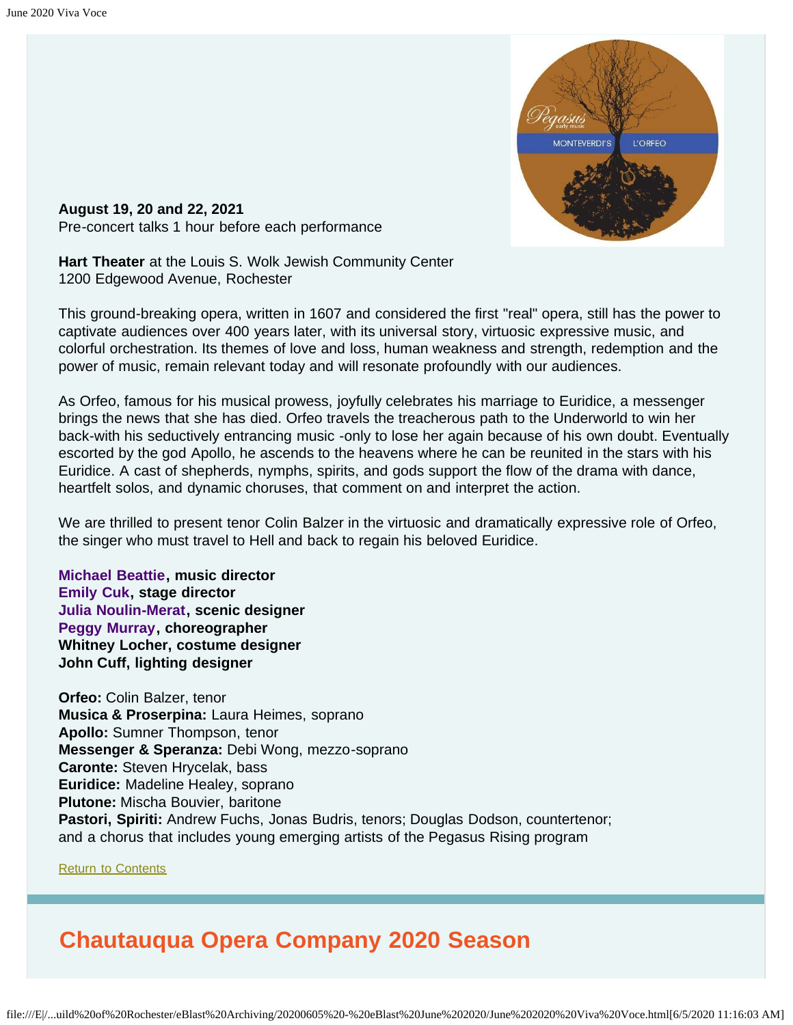

<span id="page-8-0"></span>**August 19, 20 and 22, 2021** Pre-concert talks 1 hour before each performance

**Hart Theater** at the Louis S. Wolk Jewish Community Center 1200 Edgewood Avenue, Rochester

This ground-breaking opera, written in 1607 and considered the first "real" opera, still has the power to captivate audiences over 400 years later, with its universal story, virtuosic expressive music, and colorful orchestration. Its themes of love and loss, human weakness and strength, redemption and the power of music, remain relevant today and will resonate profoundly with our audiences.

As Orfeo, famous for his musical prowess, joyfully celebrates his marriage to Euridice, a messenger brings the news that she has died. Orfeo travels the treacherous path to the Underworld to win her back-with his seductively entrancing music -only to lose her again because of his own doubt. Eventually escorted by the god Apollo, he ascends to the heavens where he can be reunited in the stars with his Euridice. A cast of shepherds, nymphs, spirits, and gods support the flow of the drama with dance, heartfelt solos, and dynamic choruses, that comment on and interpret the action.

We are thrilled to present tenor Colin Balzer in the virtuosic and dramatically expressive role of Orfeo, the singer who must travel to Hell and back to regain his beloved Euridice.

**[Michael Beattie](https://www.pegasusearlymusic.org/artist/michael-beattie/), music director [Emily Cuk](https://www.pegasusearlymusic.org/artist/emily-cuk/), stage director [Julia Noulin-Merat,](https://www.pegasusearlymusic.org/artist/julia-noulin-merat/) scenic designer [Peggy Murray,](https://www.pegasusearlymusic.org/artist/peggy-murray/) choreographer Whitney Locher, costume designer John Cuff, lighting designer**

**Orfeo:** Colin Balzer, tenor **Musica & Proserpina:** Laura Heimes, soprano **Apollo:** Sumner Thompson, tenor **Messenger & Speranza:** Debi Wong, mezzo-soprano **Caronte:** Steven Hrycelak, bass **Euridice:** Madeline Healey, soprano **Plutone:** Mischa Bouvier, baritone **Pastori, Spiriti:** Andrew Fuchs, Jonas Budris, tenors; Douglas Dodson, countertenor; and a chorus that includes young emerging artists of the Pegasus Rising program

[Return to Contents](#page-0-1)

# <span id="page-8-1"></span>**Chautauqua Opera Company 2020 Season**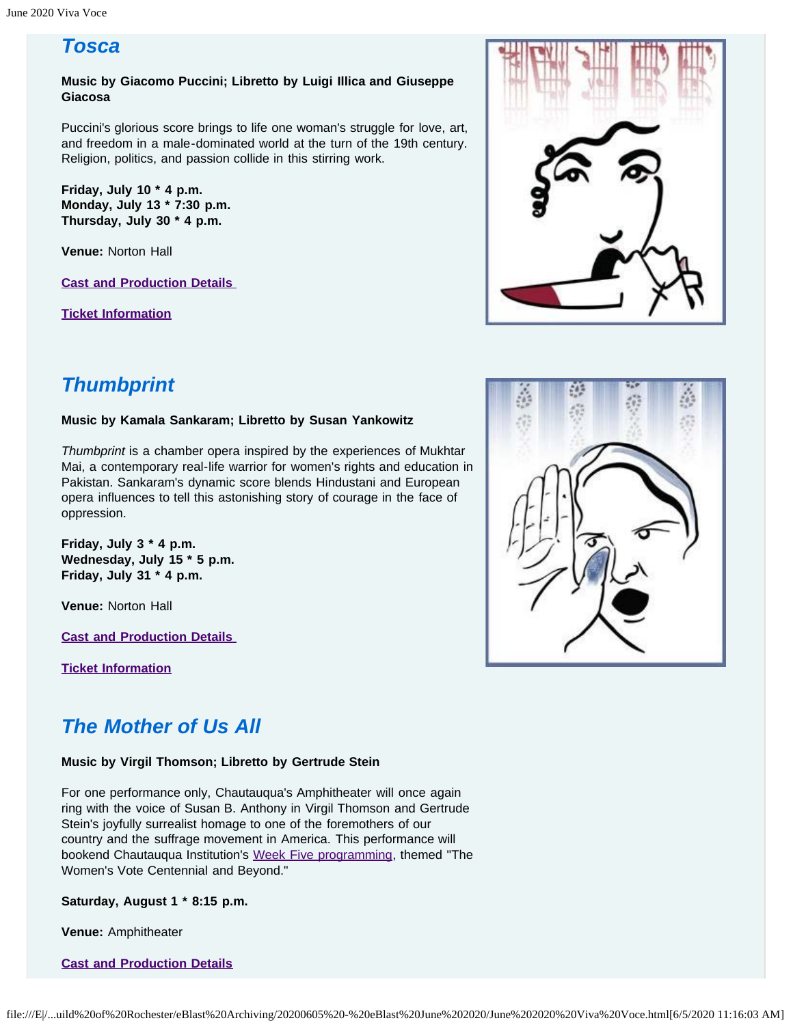## *Tosca*

**Music by Giacomo Puccini; Libretto by Luigi Illica and Giuseppe Giacosa**

Puccini's glorious score brings to life one woman's struggle for love, art, and freedom in a male-dominated world at the turn of the 19th century. Religion, politics, and passion collide in this stirring work.

**Friday, July 10 \* 4 p.m. Monday, July 13 \* 7:30 p.m. Thursday, July 30 \* 4 p.m.**

**Venue:** Norton Hall

**[Cast and Production Details](http://chq.org/opera-season/2020-season/tosca)** 

**[Ticket Information](https://chq.org/opera-season/ticket-information#tosca)**



# *Thumbprint*

#### **Music by Kamala Sankaram; Libretto by Susan Yankowitz**

*Thumbprint* is a chamber opera inspired by the experiences of Mukhtar Mai, a contemporary real-life warrior for women's rights and education in Pakistan. Sankaram's dynamic score blends Hindustani and European opera influences to tell this astonishing story of courage in the face of oppression.

**Friday, July 3 \* 4 p.m. Wednesday, July 15 \* 5 p.m. Friday, July 31 \* 4 p.m.**

**Venue:** Norton Hall

**[Cast and Production Details](http://chq.org/opera-season/2020-season/thumbprint)** 

**[Ticket Information](https://chq.org/opera-season/ticket-information#thumbprint)**

## *The Mother of Us All*

#### **Music by Virgil Thomson; Libretto by Gertrude Stein**

For one performance only, Chautauqua's Amphitheater will once again ring with the voice of Susan B. Anthony in Virgil Thomson and Gertrude Stein's joyfully surrealist homage to one of the foremothers of our country and the suffrage movement in America. This performance will bookend Chautauqua Institution's [Week Five programming,](https://chq.org/season/weekly-themes/week-five-july-25-august-1) themed "The Women's Vote Centennial and Beyond."

**Saturday, August 1 \* 8:15 p.m.**

**Venue:** Amphitheater

**[Cast and Production Details](https://chq.org/opera-season/2020-season/mother-of-us-all)**